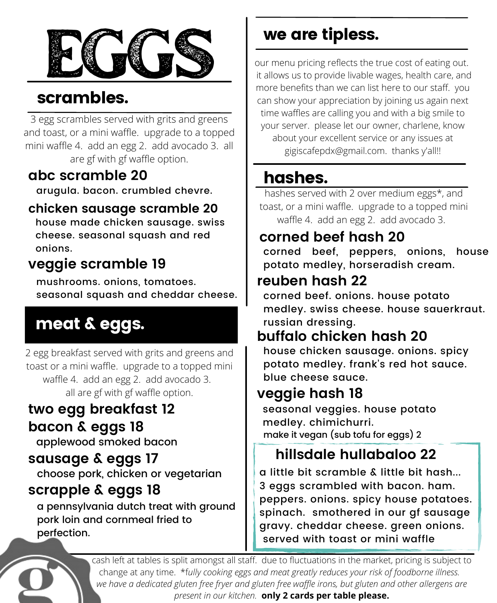

## scrambles.

3 egg scrambles served with grits and greens and toast, or a mini waffle. upgrade to a topped mini waffle 4. add an egg 2. add avocado 3. all are gf with gf waffle option.

### **abc scramble 20**

arugula. bacon. crumbled chevre.

#### **chicken sausage scramble 20**

house made chicken sausage. swiss cheese. seasonal squash and red onions.

### **veggie scramble 19**

mushrooms. onions, tomatoes. seasonal squash and cheddar cheese.

# meat & eggs.

2 egg breakfast served with grits and greens and toast or a mini waffle. upgrade to a topped mini waffle 4. add an egg 2. add avocado 3. all are gf with gf waffle option.

#### **two egg breakfast 12 bacon & eggs 18**

applewood smoked bacon

#### **sausage & eggs 17**

choose pork, chicken or vegetarian

#### **scrapple & eggs 18**

a pennsylvania dutch treat with ground pork loin and cornmeal fried to perfection.

## we are tipless.

our menu pricing reflects the true cost of eating out. it allows us to provide livable wages, health care, and more benefits than we can list here to our staff. you can show your appreciation by joining us again next time waffles are calling you and with a big smile to your server. please let our owner, charlene, know about your excellent service or any issues at gigiscafepdx@gmail.com. thanks y'all!!

### hashes.

hashes served with 2 over medium eggs\*, and toast, or a mini waffle. upgrade to a topped mini waffle 4. add an egg 2. add avocado 3.

### **corned beef hash 20**

corned beef, peppers, onions, house potato medley, horseradish cream.

#### **reuben hash 22**

corned beef. onions. house potato medley. swiss cheese. house sauerkraut. russian dressing.

### **buffalo chicken hash 20**

house chicken sausage. onions. spicy potato medley. frank's red hot sauce. blue cheese sauce.

### **veggie hash 18**

seasonal veggies. house potato medley. chimichurri. make it vegan (sub tofu for eggs) 2

### **hillsdale hullabaloo 22**

a little bit scramble & little bit hash... 3 eggs scrambled with bacon. ham. peppers. onions. spicy house potatoes. spinach. smothered in our gf sausage gravy. cheddar cheese. green onions. served with toast or mini waffle

cash left at tables is split amongst all staff. due to fluctuations in the market, pricing is subject to change at any time. \*f*ully cooking eggs and meat greatly reduces your risk of foodborne illness. we have a dedicated gluten free fryer and gluten free waffle irons, but gluten and other allergens are present in our kitchen.* **only 2 cards per table please.**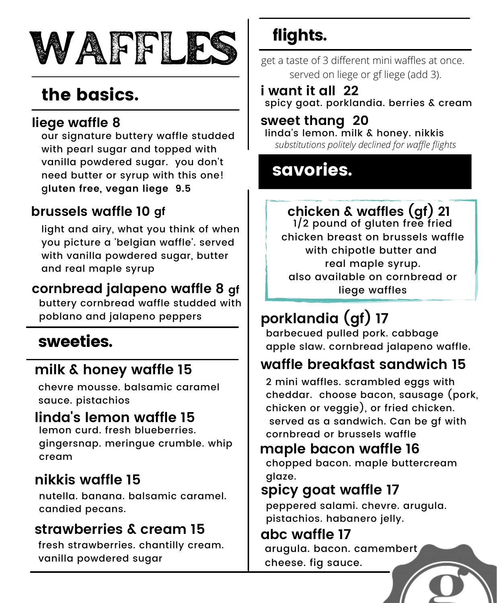

# the basics.

#### **liege waffle 8**

our signature buttery waffle studded with pearl sugar and topped with vanilla powdered sugar. you don't need butter or syrup with this one! g**luten free, vegan liege 9.5**

### **brussels waffle 10 gf**

light and airy, what you think of when you picture a 'belgian waffle'. served with vanilla powdered sugar, butter and real maple syrup

### **cornbread jalapeno waffle 8 gf**

buttery cornbread waffle studded with poblano and jalapeno peppers

### sweeties.

#### **milk & honey waffle 15**

chevre mousse. balsamic caramel sauce. pistachios

#### **linda's lemon waffle 15**

lemon curd. fresh blueberries. gingersnap. meringue crumble. whip cream

### **nikkis waffle 15**

nutella. banana. balsamic caramel. candied pecans.

#### **strawberries & cream 15**

fresh strawberries. chantilly cream. vanilla powdered sugar

## flights.

get a taste of 3 different mini waffles at once. served on liege or gf liege (add 3).

#### **i want it all 22** spicy goat. porklandia. berries & cream

#### **sweet thang 20**

linda's lemon. milk & honey. nikkis *substitutions politely declined for waffle flights*

### savories.

## **chicken & waffles (gf) 21**

1/2 pound of gluten free fried chicken breast on brussels waffle with chipotle butter and real maple syrup. also available on cornbread or liege waffles

## **porklandia (gf) 17**

barbecued pulled pork. cabbage apple slaw. cornbread jalapeno waffle.

### **waffle breakfast sandwich 15**

2 mini waffles. scrambled eggs with cheddar. choose bacon, sausage (pork, chicken or veggie), or fried chicken. served as a sandwich. Can be gf with cornbread or brussels waffle

#### **maple bacon waffle 16**

chopped bacon. maple buttercream glaze.

#### **spicy goat waffle 17**

peppered salami. chevre. arugula. pistachios. habanero jelly.

#### **abc waffle 17**

arugula. bacon. camembert cheese. fig sauce.